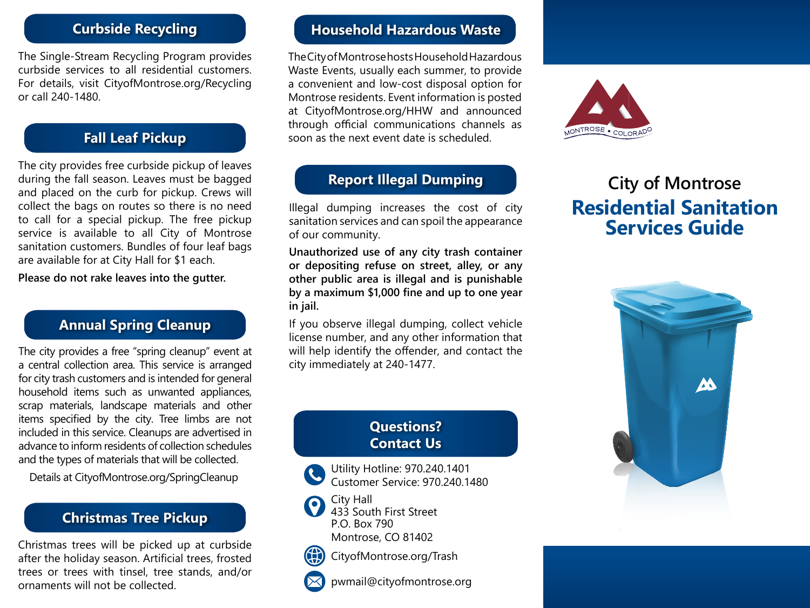# **Curbside Recycling**

The Single-Stream Recycling Program provides curbside services to all residential customers. For details, visit CityofMontrose.org/Recycling or call 240-1480.

#### **Fall Leaf Pickup**

The city provides free curbside pickup of leaves during the fall season. Leaves must be bagged and placed on the curb for pickup. Crews will collect the bags on routes so there is no need to call for a special pickup. The free pickup service is available to all City of Montrose sanitation customers. Bundles of four leaf bags are available for at City Hall for \$1 each.

**Please do not rake leaves into the gutter.**

## **Annual Spring Cleanup**

The city provides a free "spring cleanup" event at a central collection area. This service is arranged for city trash customers and is intended for general household items such as unwanted appliances, scrap materials, landscape materials and other items specified by the city. Tree limbs are not included in this service. Cleanups are advertised in advance to inform residents of collection schedules and the types of materials that will be collected.

Details at CityofMontrose.org/SpringCleanup

#### **Christmas Tree Pickup**

Christmas trees will be picked up at curbside after the holiday season. Artificial trees, frosted trees or trees with tinsel, tree stands, and/or ornaments will not be collected.

#### **Household Hazardous Waste**

The City of Montrose hosts Household Hazardous Waste Events, usually each summer, to provide a convenient and low-cost disposal option for Montrose residents. Event information is posted at CityofMontrose.org/HHW and announced through official communications channels as soon as the next event date is scheduled.

### **Report Illegal Dumping**

Illegal dumping increases the cost of city sanitation services and can spoil the appearance of our community.

**Unauthorized use of any city trash container or depositing refuse on street, alley, or any other public area is illegal and is punishable by a maximum \$1,000 fine and up to one year in jail.**

If you observe illegal dumping, collect vehicle license number, and any other information that will help identify the offender, and contact the city immediately at 240-1477.

#### **Questions? Contact Us**

Utility Hotline: 970.240.1401 Customer Service: 970.240.1480



433 South First Street P.O. Box 790 Montrose, CO 81402



CityofMontrose.org/Trash

pwmail@cityofmontrose.org



# **City of Montrose Residential Sanitation Services Guide**